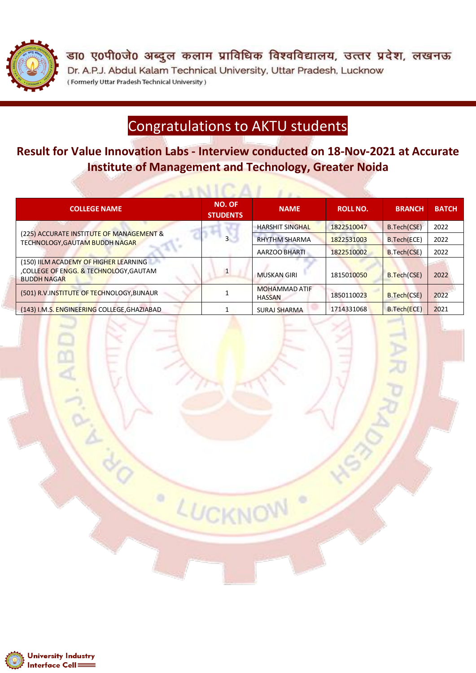

डा0 ए0पी0जे0 अब्दुल कलाम प्राविधिक विश्वविद्यालय, उत्तर प्रदेश, लखनऊ Dr. A.P.J. Abdul Kalam Technical University, Uttar Pradesh, Lucknow (Formerly Uttar Pradesh Technical University)

## Congratulations to AKTU students

**Result for Value Innovation Labs - Interview conducted on 18-Nov-2021 at Accurate Institute of Management and Technology, Greater Noida**

 $\sim NICAI$ 

| <b>COLLEGE NAME</b>                                                                                  | <b>NO. OF</b><br><b>STUDENTS</b> | <b>NAME</b>                           | <b>ROLL NO.</b> | <b>BRANCH</b> | <b>BATCH</b> |
|------------------------------------------------------------------------------------------------------|----------------------------------|---------------------------------------|-----------------|---------------|--------------|
| (225) ACCURATE INSTITUTE OF MANAGEMENT &<br>TECHNOLOGY, GAUTAM BUDDH NAGAR                           |                                  | <b>HARSHIT SINGHAL</b>                | 1822510047      | B.Tech(CSE)   | 2022         |
|                                                                                                      |                                  | <b>RHYTHM SHARMA</b>                  | 1822531003      | B.Tech(ECE)   | 2022         |
|                                                                                                      |                                  | <b>AARZOO BHARTI</b>                  | 1822510002      | B.Tech(CSE)   | 2022         |
| (150) IILM ACADEMY OF HIGHER LEARNING<br>,COLLEGE OF ENGG. & TECHNOLOGY,GAUTAM<br><b>BUDDH NAGAR</b> |                                  | <b>MUSKAN GIRI</b>                    | 1815010050      | B.Tech(CSE)   | 2022         |
| (501) R.V. INSTITUTE OF TECHNOLOGY, BIJNAUR                                                          |                                  | <b>MOHAMMAD ATIF</b><br><b>HASSAN</b> | 1850110023      | B.Tech(CSE)   | 2022         |
| (143) I.M.S. ENGINEERING COLLEGE, GHAZIABAD                                                          |                                  | SURAJ SHARMA                          | 1714331068      | B.Tech(ECE)   | 2021         |

LUCKNOW

 $\circ$ 

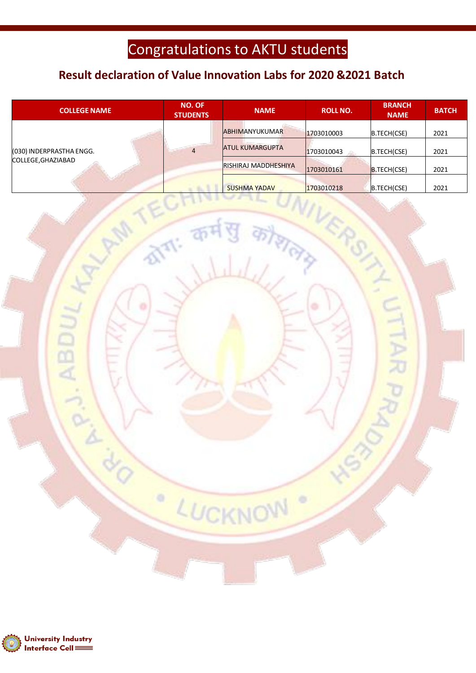## Congratulations to AKTU students

### **Result declaration of Value Innovation Labs for 2020 &2021 Batch**

| <b>COLLEGE NAME</b>                            | <b>NO. OF</b><br><b>STUDENTS</b> | <b>NAME</b>                 | <b>ROLL NO.</b> | <b>BRANCH</b><br><b>NAME</b> | <b>BATCH</b> |
|------------------------------------------------|----------------------------------|-----------------------------|-----------------|------------------------------|--------------|
| (030) INDERPRASTHA ENGG.<br>COLLEGE, GHAZIABAD |                                  | <b>ABHIMANYUKUMAR</b>       | 1703010003      | B.TECH(CSE)                  | 2021         |
|                                                | 4                                | <b>ATUL KUMARGUPTA</b>      | 1703010043      | B.TECH(CSE)                  | 2021         |
|                                                |                                  | <b>RISHIRAJ MADDHESHIYA</b> | 1703010161      | B.TECH(CSE)                  | 2021         |
|                                                |                                  | <b>SUSHMA YADAV</b>         | 1703010218      | B.TECH(CSE)                  | 2021         |

LUCKNOW

699

ó

 $\bullet$ 



**ABD**